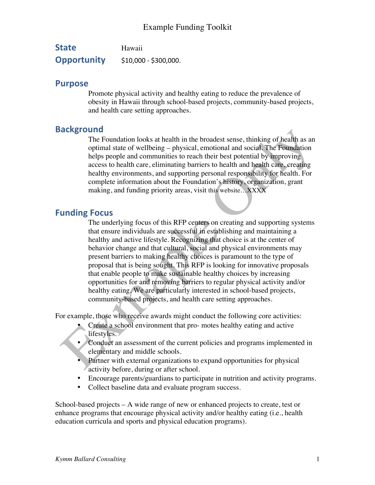| <b>State</b>       | Hawaii                |
|--------------------|-----------------------|
| <b>Opportunity</b> | $$10,000 - $300,000.$ |

#### **Purpose**

Promote physical activity and healthy eating to reduce the prevalence of obesity in Hawaii through school-based projects, community-based projects, and health care setting approaches.

### **Background**

The Foundation looks at health in the broadest sense, thinking of health as an optimal state of wellbeing – physical, emotional and social. The Foundation helps people and communities to reach their best potential by improving access to health care, eliminating barriers to health and health care, creating healthy environments, and supporting personal responsibility for health. For complete information about the Foundation's history, organization, grant making, and funding priority areas, visit this website…XXXX

### **Funding Focus**

The underlying focus of this RFP centers on creating and supporting systems that ensure individuals are successful in establishing and maintaining a healthy and active lifestyle. Recognizing that choice is at the center of behavior change and that cultural, social and physical environments may present barriers to making healthy choices is paramount to the type of proposal that is being sought. This RFP is looking for innovative proposals that enable people to make sustainable healthy choices by increasing opportunities for and removing barriers to regular physical activity and/or healthy eating. We are particularly interested in school-based projects, community-based projects, and health care setting approaches.

For example, those who receive awards might conduct the following core activities:

- Create a school environment that pro- motes healthy eating and active lifestyles.
- Conduct an assessment of the current policies and programs implemented in elementary and middle schools.
- Partner with external organizations to expand opportunities for physical activity before, during or after school.
- Encourage parents/guardians to participate in nutrition and activity programs.
- Collect baseline data and evaluate program success.

School-based projects – A wide range of new or enhanced projects to create, test or enhance programs that encourage physical activity and/or healthy eating (i.e., health education curricula and sports and physical education programs).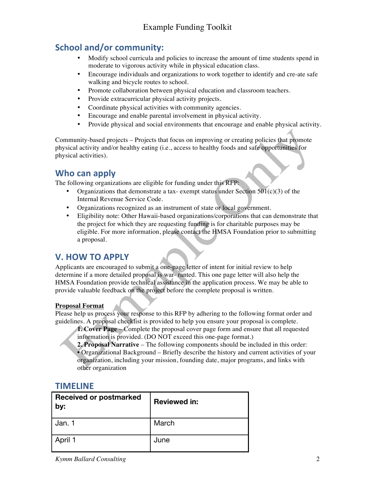### **School and/or community:**

- Modify school curricula and policies to increase the amount of time students spend in moderate to vigorous activity while in physical education class.
- Encourage individuals and organizations to work together to identify and cre-ate safe walking and bicycle routes to school.
- Promote collaboration between physical education and classroom teachers.
- Provide extracurricular physical activity projects.
- Coordinate physical activities with community agencies.
- Encourage and enable parental involvement in physical activity.
- Provide physical and social environments that encourage and enable physical activity.

Community-based projects – Projects that focus on improving or creating policies that promote physical activity and/or healthy eating (i.e., access to healthy foods and safe opportunities for physical activities).

#### **Who can apply**

The following organizations are eligible for funding under this RFP:

- Organizations that demonstrate a tax-exempt status under Section  $501(c)(3)$  of the Internal Revenue Service Code.
- Organizations recognized as an instrument of state or local government.
- Eligibility note: Other Hawaii-based organizations/corporations that can demonstrate that the project for which they are requesting funding is for charitable purposes may be eligible. For more information, please contact the HMSA Foundation prior to submitting a proposal.

#### **V. HOW TO APPLY**

Applicants are encouraged to submit a one-page letter of intent for initial review to help determine if a more detailed proposal is war- ranted. This one page letter will also help the HMSA Foundation provide technical assistance in the application process. We may be able to provide valuable feedback on the project before the complete proposal is written.

#### **Proposal Format**

Please help us process your response to this RFP by adhering to the following format order and guidelines. A proposal checklist is provided to help you ensure your proposal is complete.

**1. Cover Page** – Complete the proposal cover page form and ensure that all requested information is provided. (DO NOT exceed this one-page format.)

**2. Proposal Narrative** – The following components should be included in this order: • Organizational Background – Briefly describe the history and current activities of your organization, including your mission, founding date, major programs, and links with other organization

#### **TIMELINE**

| Received or postmarked<br>by: | <b>Reviewed in:</b> |
|-------------------------------|---------------------|
| Jan. 1                        | March               |
| April 1                       | June                |